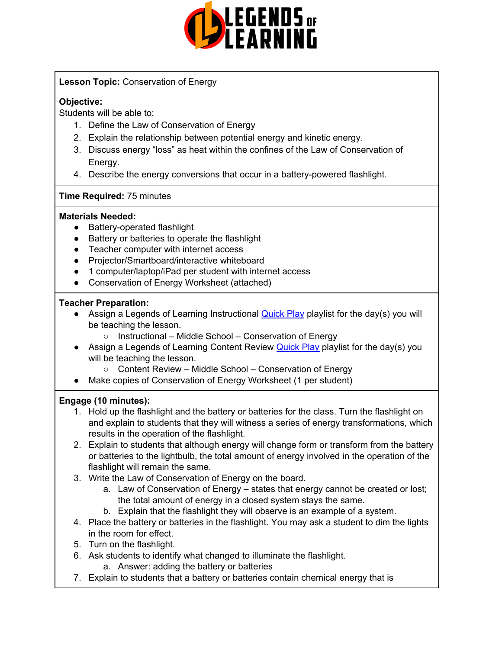

## **Lesson Topic:** Conservation of Energy

## **Objective:**

Students will be able to:

- 1. Define the Law of Conservation of Energy
- 2. Explain the relationship between potential energy and kinetic energy.
- 3. Discuss energy "loss" as heat within the confines of the Law of Conservation of Energy.
- 4. Describe the energy conversions that occur in a battery-powered flashlight.

## **Time Required:** 75 minutes

## **Materials Needed:**

- Battery-operated flashlight
- Battery or batteries to operate the flashlight
- Teacher computer with internet access
- Projector/Smartboard/interactive whiteboard
- 1 computer/laptop/iPad per student with internet access
- Conservation of Energy Worksheet (attached)

## **Teacher Preparation:**

- Assign a Legends of Learning Instructional **[Quick](https://intercom.help/legends-of-learning/en/articles/2701866-assigning-a-quick-play-playlist) Play** playlist for the day(s) you will be teaching the lesson.
	- Instructional Middle School Conservation of Energy
- Assign a Legends of Learning Content Review **[Quick](https://intercom.help/legends-of-learning/en/articles/2701866-assigning-a-quick-play-playlist) Play** playlist for the day(s) you will be teaching the lesson.
	- Content Review Middle School Conservation of Energy
- Make copies of Conservation of Energy Worksheet (1 per student)

## **Engage (10 minutes):**

- 1. Hold up the flashlight and the battery or batteries for the class. Turn the flashlight on and explain to students that they will witness a series of energy transformations, which results in the operation of the flashlight.
- 2. Explain to students that although energy will change form or transform from the battery or batteries to the lightbulb, the total amount of energy involved in the operation of the flashlight will remain the same.
- 3. Write the Law of Conservation of Energy on the board.
	- a. Law of Conservation of Energy states that energy cannot be created or lost; the total amount of energy in a closed system stays the same.
	- b. Explain that the flashlight they will observe is an example of a system.
- 4. Place the battery or batteries in the flashlight. You may ask a student to dim the lights in the room for effect.
- 5. Turn on the flashlight.
- 6. Ask students to identify what changed to illuminate the flashlight.
	- a. Answer: adding the battery or batteries
- 7. Explain to students that a battery or batteries contain chemical energy that is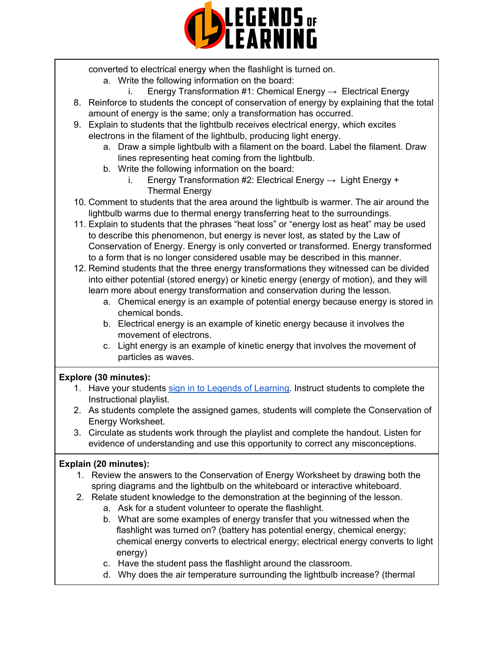

converted to electrical energy when the flashlight is turned on.

- a. Write the following information on the board:
	- i. Energy Transformation #1: Chemical Energy  $\rightarrow$  Electrical Energy
- 8. Reinforce to students the concept of conservation of energy by explaining that the total amount of energy is the same; only a transformation has occurred.
- 9. Explain to students that the lightbulb receives electrical energy, which excites electrons in the filament of the lightbulb, producing light energy.
	- a. Draw a simple lightbulb with a filament on the board. Label the filament. Draw lines representing heat coming from the lightbulb.
	- b. Write the following information on the board:
		- i. Energy Transformation #2: Electrical Energy  $\rightarrow$  Light Energy + Thermal Energy
- 10. Comment to students that the area around the lightbulb is warmer. The air around the lightbulb warms due to thermal energy transferring heat to the surroundings.
- 11. Explain to students that the phrases "heat loss" or "energy lost as heat" may be used to describe this phenomenon, but energy is never lost, as stated by the Law of Conservation of Energy. Energy is only converted or transformed. Energy transformed to a form that is no longer considered usable may be described in this manner.
- 12. Remind students that the three energy transformations they witnessed can be divided into either potential (stored energy) or kinetic energy (energy of motion), and they will learn more about energy transformation and conservation during the lesson.
	- a. Chemical energy is an example of potential energy because energy is stored in chemical bonds.
	- b. Electrical energy is an example of kinetic energy because it involves the movement of electrons.
	- c. Light energy is an example of kinetic energy that involves the movement of particles as waves.

## **Explore (30 minutes):**

- 1. Have your students sign in to Legends of [Learning](https://intercom.help/legends-of-learning/en/articles/2154920-students-joining-a-playlist). Instruct students to complete the Instructional playlist.
- 2. As students complete the assigned games, students will complete the Conservation of Energy Worksheet.
- 3. Circulate as students work through the playlist and complete the handout. Listen for evidence of understanding and use this opportunity to correct any misconceptions.

## **Explain (20 minutes):**

- 1. Review the answers to the Conservation of Energy Worksheet by drawing both the spring diagrams and the lightbulb on the whiteboard or interactive whiteboard.
- 2. Relate student knowledge to the demonstration at the beginning of the lesson.
	- a. Ask for a student volunteer to operate the flashlight.
	- b. What are some examples of energy transfer that you witnessed when the flashlight was turned on? (battery has potential energy, chemical energy; chemical energy converts to electrical energy; electrical energy converts to light energy)
	- c. Have the student pass the flashlight around the classroom.
	- d. Why does the air temperature surrounding the lightbulb increase? (thermal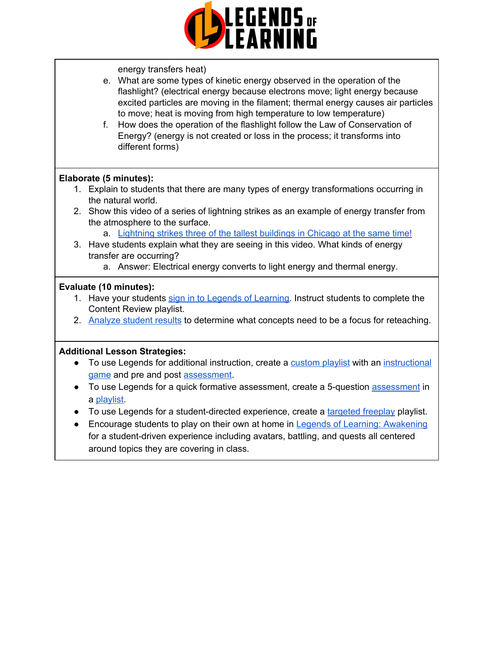

energy transfers heat)

- e. What are some types of kinetic energy observed in the operation of the flashlight? (electrical energy because electrons move; light energy because excited particles are moving in the filament; thermal energy causes air particles to move; heat is moving from high temperature to low temperature)
- f. How does the operation of the flashlight follow the Law of Conservation of Energy? (energy is not created or loss in the process; it transforms into different forms)

## **Elaborate (5 minutes):**

- 1. Explain to students that there are many types of energy transformations occurring in the natural world.
- 2. Show this video of a series of lightning strikes as an example of energy transfer from the atmosphere to the surface.
	- a. [Lightning](https://vimeo.com/12816548) strikes three of the tallest buildings in Chicago at the same time!
- 3. Have students explain what they are seeing in this video. What kinds of energy transfer are occurring?
	- a. Answer: Electrical energy converts to light energy and thermal energy.

## **Evaluate (10 minutes):**

- 1. Have your students sign in to Legends of [Learning](https://intercom.help/legends-of-learning/en/articles/2154920-students-joining-a-playlist). Instruct students to complete the Content Review playlist.
- 2. [Analyze](https://intercom.help/legends-of-learning/en/articles/2154918-tracking-student-progress-and-performance) student results to determine what concepts need to be a focus for reteaching.

## **Additional Lesson Strategies:**

- To use Legends for additional instruction, create a [custom](https://intercom.help/legends-of-learning/en/articles/2154910-creating-a-playlist) playlist with an [instructional](https://intercom.help/legends-of-learning/en/articles/3505828-types-of-games) [game](https://intercom.help/legends-of-learning/en/articles/3505828-types-of-games) and pre and post [assessment.](https://intercom.help/legends-of-learning/en/articles/2154913-adding-assessments-to-a-playlist)
- To use Legends for a quick formative [assessment](https://intercom.help/legends-of-learning/en/articles/2154913-adding-assessments-to-a-playlist), create a 5-question assessment in a [playlist.](https://intercom.help/legends-of-learning/en/articles/2154910-creating-a-playlist)
- To use Legends for a student-directed experience, create a [targeted](https://intercom.help/legends-of-learning/en/articles/3340814-targeted-freeplay) freeplay playlist.
- Encourage students to play on their own at home in Legends of Learning: [Awakening](https://intercom.help/legends-of-learning/en/articles/2425490-legends-of-learning-awakening) for a student-driven experience including avatars, battling, and quests all centered around topics they are covering in class.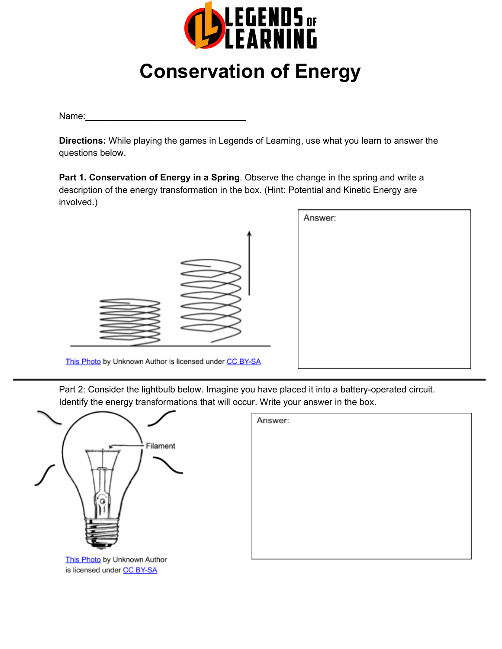

# **Conservation of Energy**

Name:\_\_\_\_\_\_\_\_\_\_\_\_\_\_\_\_\_\_\_\_\_\_\_\_\_\_\_\_\_\_\_\_

**Directions:** While playing the games in Legends of Learning, use what you learn to answer the questions below.

**Part 1. Conservation of Energy in a Spring**. Observe the change in the spring and write a description of the energy transformation in the box. (Hint: Potential and Kinetic Energy are involved.)

|                                                         | Answer: |  |
|---------------------------------------------------------|---------|--|
| =                                                       |         |  |
| This Photo by Unknown Author is licensed under CC BY-SA |         |  |

Part 2: Consider the lightbulb below. Imagine you have placed it into a battery-operated circuit. Identify the energy transformations that will occur. Write your answer in the box.



is licensed under CC BY-SA